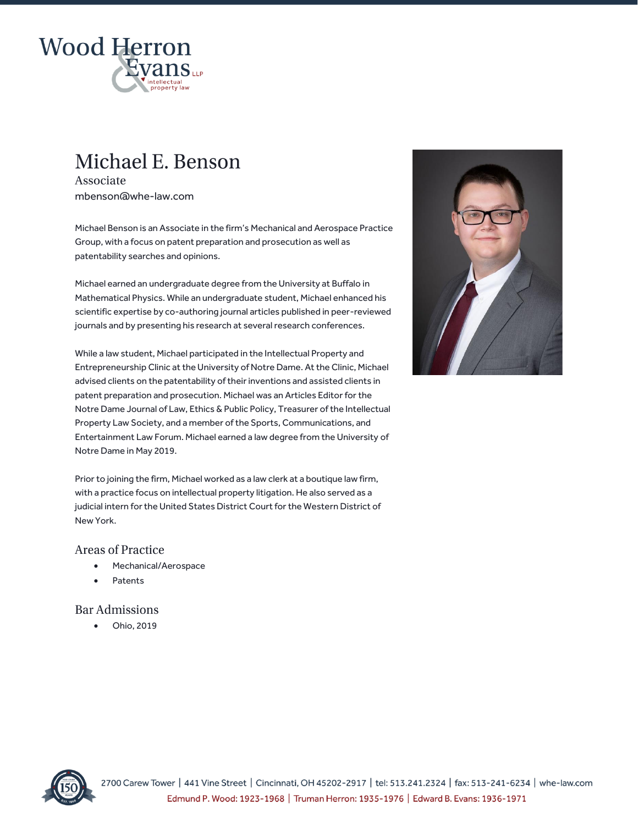

# Michael E. Benson

Associate mbenson@whe-law.com

Michael Benson is an Associate in the firm's Mechanical and Aerospace Practice Group, with a focus on patent preparation and prosecution as well as patentability searches and opinions.

Michael earned an undergraduate degree from the University at Buffalo in Mathematical Physics. While an undergraduate student, Michael enhanced his scientific expertise by co-authoring journal articles published in peer-reviewed journals and by presenting his research at several research conferences.

While a law student, Michael participated in the Intellectual Property and Entrepreneurship Clinic at the University of Notre Dame. At the Clinic, Michael advised clients on the patentability of their inventions and assisted clients in patent preparation and prosecution. Michael was an Articles Editor for the Notre Dame Journal of Law, Ethics & Public Policy, Treasurer of the Intellectual Property Law Society, and a member of the Sports, Communications, and Entertainment Law Forum. Michael earned a law degree from the University of Notre Dame in May 2019.

Prior to joining the firm, Michael worked as a law clerk at a boutique law firm, with a practice focus on intellectual property litigation. He also served as a judicial intern for the United States District Court for the Western District of New York.

## **Areas of Practice**

- Mechanical/Aerospace
- **Patents**

## **Bar Admissions**

• Ohio, 2019